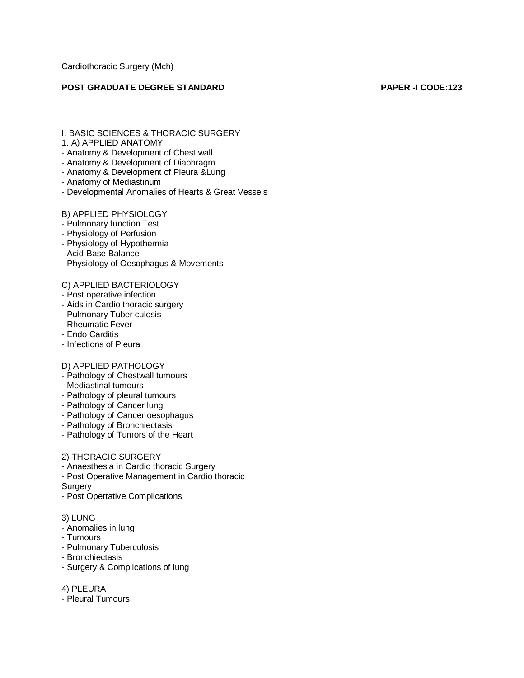Cardiothoracic Surgery (Mch)

## **POST GRADUATE DEGREE STANDARD PAPER -I CODE:123**

I. BASIC SCIENCES & THORACIC SURGERY

### 1. A) APPLIED ANATOMY

- Anatomy & Development of Chest wall
- Anatomy & Development of Diaphragm.
- Anatomy & Development of Pleura &Lung
- Anatomy of Mediastinum
- Developmental Anomalies of Hearts & Great Vessels

## B) APPLIED PHYSIOLOGY

- Pulmonary function Test
- Physiology of Perfusion
- Physiology of Hypothermia
- Acid-Base Balance
- Physiology of Oesophagus & Movements

#### C) APPLIED BACTERIOLOGY

- Post operative infection
- Aids in Cardio thoracic surgery
- Pulmonary Tuber culosis
- Rheumatic Fever
- Endo Carditis
- Infections of Pleura

#### D) APPLIED PATHOLOGY

- Pathology of Chestwall tumours
- Mediastinal tumours
- Pathology of pleural tumours
- Pathology of Cancer lung
- Pathology of Cancer oesophagus
- Pathology of Bronchiectasis
- Pathology of Tumors of the Heart

#### 2) THORACIC SURGERY

- Anaesthesia in Cardio thoracic Surgery
- Post Operative Management in Cardio thoracic

**Surgery** 

- Post Opertative Complications

#### 3) LUNG

- Anomalies in lung
- Tumours
- Pulmonary Tuberculosis
- Bronchiectasis
- Surgery & Complications of lung
- 4) PLEURA
- Pleural Tumours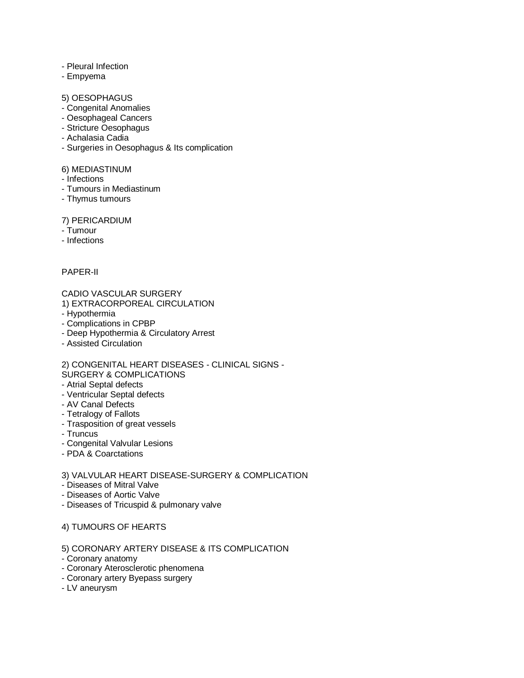- Pleural Infection
- Empyema

### 5) OESOPHAGUS

- Congenital Anomalies
- Oesophageal Cancers
- Stricture Oesophagus
- Achalasia Cadia
- Surgeries in Oesophagus & Its complication

## 6) MEDIASTINUM

- Infections
- Tumours in Mediastinum
- Thymus tumours

## 7) PERICARDIUM

- Tumour
- Infections

## PAPER-II

# CADIO VASCULAR SURGERY

1) EXTRACORPOREAL CIRCULATION

- Hypothermia
- Complications in CPBP
- Deep Hypothermia & Circulatory Arrest
- Assisted Circulation

2) CONGENITAL HEART DISEASES - CLINICAL SIGNS - SURGERY & COMPLICATIONS

- Atrial Septal defects
- Ventricular Septal defects
- AV Canal Defects
- Tetralogy of Fallots
- Trasposition of great vessels
- Truncus
- Congenital Valvular Lesions
- PDA & Coarctations

## 3) VALVULAR HEART DISEASE-SURGERY & COMPLICATION

- Diseases of Mitral Valve
- Diseases of Aortic Valve
- Diseases of Tricuspid & pulmonary valve

## 4) TUMOURS OF HEARTS

- 5) CORONARY ARTERY DISEASE & ITS COMPLICATION
- Coronary anatomy
- Coronary Aterosclerotic phenomena
- Coronary artery Byepass surgery
- LV aneurysm